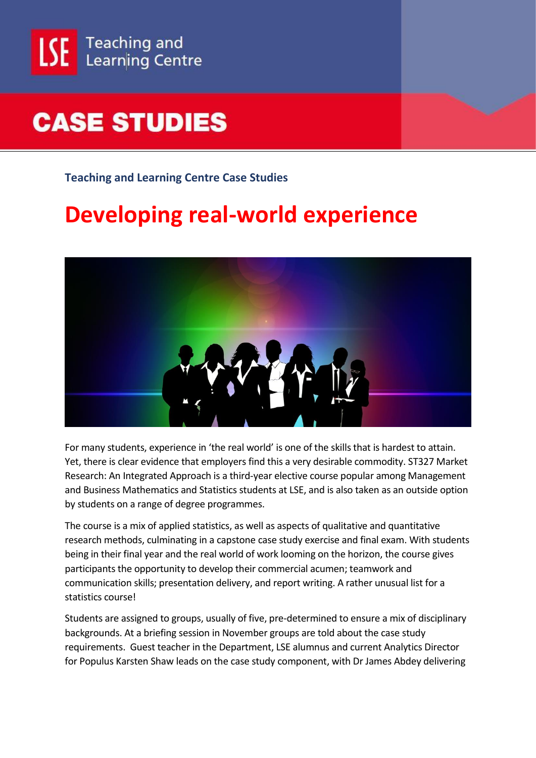

## **CASE STUDIES**

**Teaching and Learning Centre Case Studies**

## **Developing real-world experience**



For many students, experience in 'the real world' is one of the skills that is hardest to attain. Yet, there is clear evidence that employers find this a very desirable commodity. ST327 Market Research: An Integrated Approach is a third-year elective course popular among Management and Business Mathematics and Statistics students at LSE, and is also taken as an outside option by students on a range of degree programmes.

The course is a mix of applied statistics, as well as aspects of qualitative and quantitative research methods, culminating in a capstone case study exercise and final exam. With students being in their final year and the real world of work looming on the horizon, the course gives participants the opportunity to develop their commercial acumen; teamwork and communication skills; presentation delivery, and report writing. A rather unusual list for a statistics course!

Students are assigned to groups, usually of five, pre-determined to ensure a mix of disciplinary backgrounds. At a briefing session in November groups are told about the case study requirements. Guest teacher in the Department, LSE alumnus and current Analytics Director for Populus Karsten Shaw leads on the case study component, with Dr James Abdey delivering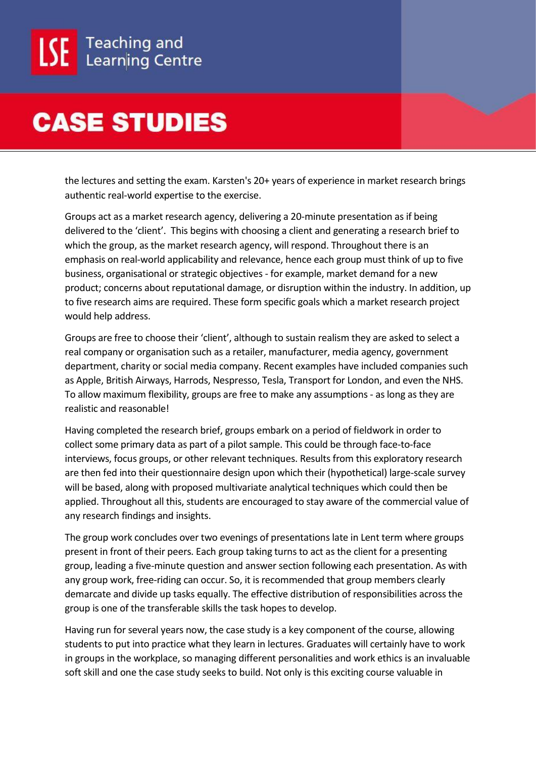## **CASE STUDIES**

the lectures and setting the exam. Karsten's 20+ years of experience in market research brings authentic real-world expertise to the exercise.

Groups act as a market research agency, delivering a 20-minute presentation as if being delivered to the 'client'. This begins with choosing a client and generating a research brief to which the group, as the market research agency, will respond. Throughout there is an emphasis on real-world applicability and relevance, hence each group must think of up to five business, organisational or strategic objectives - for example, market demand for a new product; concerns about reputational damage, or disruption within the industry. In addition, up to five research aims are required. These form specific goals which a market research project would help address.

Groups are free to choose their 'client', although to sustain realism they are asked to select a real company or organisation such as a retailer, manufacturer, media agency, government department, charity or social media company. Recent examples have included companies such as Apple, British Airways, Harrods, Nespresso, Tesla, Transport for London, and even the NHS. To allow maximum flexibility, groups are free to make any assumptions - as long as they are realistic and reasonable!

Having completed the research brief, groups embark on a period of fieldwork in order to collect some primary data as part of a pilot sample. This could be through face-to-face interviews, focus groups, or other relevant techniques. Results from this exploratory research are then fed into their questionnaire design upon which their (hypothetical) large-scale survey will be based, along with proposed multivariate analytical techniques which could then be applied. Throughout all this, students are encouraged to stay aware of the commercial value of any research findings and insights.

The group work concludes over two evenings of presentations late in Lent term where groups present in front of their peers. Each group taking turns to act as the client for a presenting group, leading a five-minute question and answer section following each presentation. As with any group work, free-riding can occur. So, it is recommended that group members clearly demarcate and divide up tasks equally. The effective distribution of responsibilities across the group is one of the transferable skills the task hopes to develop.

Having run for several years now, the case study is a key component of the course, allowing students to put into practice what they learn in lectures. Graduates will certainly have to work in groups in the workplace, so managing different personalities and work ethics is an invaluable soft skill and one the case study seeks to build. Not only is this exciting course valuable in